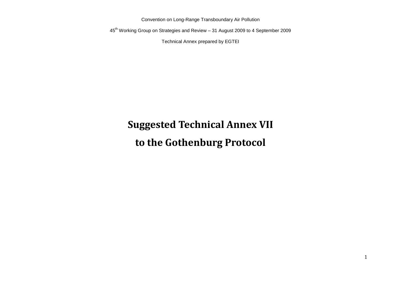Convention on Long-Range Transboundary Air Pollution

45th Working Group on Strategies and Review – 31 August 2009 to 4 September 2009

Technical Annex prepared by EGTEI

# **Suggested Technical Annex VII to the Gothenburg Protocol**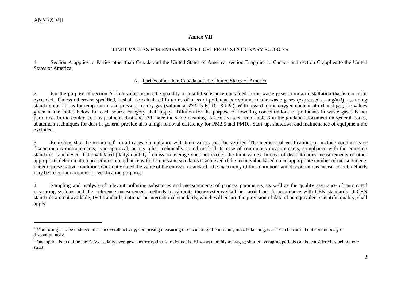$\overline{a}$ 

#### **Annex VII**

#### LIMIT VALUES FOR EMISSIONS OF DUST FROM STATIONARY SOURCES

1. Section A applies to Parties other than Canada and the United States of America, section B applies to Canada and section C applies to the United States of America.

#### A. Parties other than Canada and the United States of America

2. For the purpose of section A limit value means the quantity of a solid substance contained in the waste gases from an installation that is not to be exceeded. Unless otherwise specified, it shall be calculated in terms of mass of pollutant per volume of the waste gases (expressed as mg/m3), assuming standard conditions for temperature and pressure for dry gas (volume at 273.15 K, 101.3 kPa). With regard to the oxygen content of exhaust gas, the values given in the tables below for each source category shall apply. Dilution for the purpose of lowering concentrations of pollutants in waste gases is not permitted. In the context of this protocol, dust and TSP have the same meaning. As can be seen from table 8 in the guidance document on general issues, abatement techniques for dust in general provide also a high removal efficiency for PM2.5 and PM10. Start-up, shutdown and maintenance of equipment are excluded.

3. Emissions shall be monitored<sup>a</sup> in all cases. Compliance with limit values shall be verified. The methods of verification can include continuous or discontinuous measurements, type approval, or any other technically sound method. In case of continuous measurements, compliance with the emission standards is achieved if the validated [daily/monthly]<sup>b</sup> emission average does not exceed the limit values. In case of discontinuous measurements or other appropriate determination procedures, compliance with the emission standards is achieved if the mean value based on an appropriate number of measurements under representative conditions does not exceed the value of the emission standard. The inaccuracy of the continuous and discontinuous measurement methods may be taken into account for verification purposes.

4. Sampling and analysis of relevant polluting substances and measurements of process parameters, as well as the quality assurance of automated measuring systems and the reference measurement methods to calibrate those systems shall be carried out in accordance with CEN standards. If CEN standards are not available, ISO standards, national or international standards, which will ensure the provision of data of an equivalent scientific quality, shall apply.

<sup>&</sup>lt;sup>a</sup> Monitoring is to be understood as an overall activity, comprising measuring or calculating of emissions, mass balancing, etc. It can be carried out continuously or discontinuously.

<sup>&</sup>lt;sup>b</sup> One option is to define the ELVs as daily averages, another option is to define the ELVs as monthly averages; shorter averaging periods can be considered as being more strict.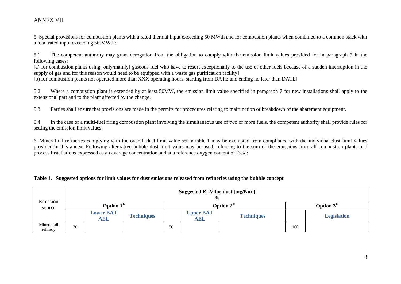5. Special provisions for combustion plants with a rated thermal input exceeding 50 MWth and for combustion plants when combined to a common stack with a total rated input exceeding 50 MWth:

5.1 The competent authority may grant derogation from the obligation to comply with the emission limit values provided for in paragraph 7 in the following cases:

[a) for combustion plants using [only/mainly] gaseous fuel who have to resort exceptionally to the use of other fuels because of a sudden interruption in the supply of gas and for this reason would need to be equipped with a waste gas purification facility]

[b) for combustion plants not operated more than XXX operating hours, starting from DATE and ending no later than DATE]

5.2 Where a combustion plant is extended by at least 50MW, the emission limit value specified in paragraph 7 for new installations shall apply to the extensional part and to the plant affected by the change.

5.3 Parties shall ensure that provisions are made in the permits for procedures relating to malfunction or breakdown of the abatement equipment.

5.4 In the case of a multi-fuel firing combustion plant involving the simultaneous use of two or more fuels, the competent authority shall provide rules for setting the emission limit values.

6. Mineral oil refineries complying with the overall dust limit value set in table 1 may be exempted from compliance with the individual dust limit values provided in this annex. Following alternative bubble dust limit value may be used, referring to the sum of the emissions from all combustion plants and process installations expressed as an average concentration and at a reference oxygen content of [3%]:

#### **Table 1. Suggested options for limit values for dust emissions released from refineries using the bubble concept**

| Emission                |    | Suggested ELV for dust [mg/Nm <sup>3</sup> ]<br>$\frac{0}{0}$ |                   |    |                                |                   |     |                    |  |  |  |  |
|-------------------------|----|---------------------------------------------------------------|-------------------|----|--------------------------------|-------------------|-----|--------------------|--|--|--|--|
| source                  |    | Option $1^{1/2}$                                              |                   |    |                                | Option $2^{1/2}$  |     | Option $3^{1/2}$   |  |  |  |  |
|                         |    | <b>Lower BAT</b><br><b>AEL</b>                                | <b>Techniques</b> |    | <b>Upper BAT</b><br><b>AEL</b> | <b>Techniques</b> |     | <b>Legislation</b> |  |  |  |  |
| Mineral oil<br>refinery | 30 |                                                               |                   | 50 |                                |                   | 100 |                    |  |  |  |  |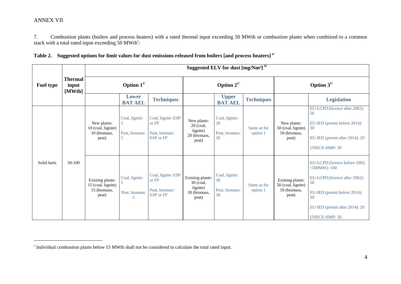$\overline{a}$ 

7. Combustion plants (boilers and process heaters) with a rated thermal input exceeding 50 MWth or combustion plants when combined to a common stack with a total rated input exceeding  $50$  MWth<sup>c</sup>:

| Table 2. Suggested options for limit values for dust emissions released from boilers [and process heaters] <sup>a/</sup> |  |
|--------------------------------------------------------------------------------------------------------------------------|--|
|--------------------------------------------------------------------------------------------------------------------------|--|

|                  |                                   |                                                                 |                                                    |                                                                   |                                                                      | Suggested ELV for dust [mg/Nm <sup>3]</sup> b/ |                         |                                                                 |                                                                                                                                                                                              |
|------------------|-----------------------------------|-----------------------------------------------------------------|----------------------------------------------------|-------------------------------------------------------------------|----------------------------------------------------------------------|------------------------------------------------|-------------------------|-----------------------------------------------------------------|----------------------------------------------------------------------------------------------------------------------------------------------------------------------------------------------|
| <b>Fuel type</b> | <b>Thermal</b><br>input<br>[MWth] |                                                                 | Option $1^{1/2}$                                   |                                                                   |                                                                      | Option $2^{1/2}$                               |                         |                                                                 | Option $3^{1/2}$                                                                                                                                                                             |
|                  |                                   |                                                                 | <b>Lower</b><br><b>BAT AEL</b>                     | <b>Techniques</b>                                                 |                                                                      | <b>Upper</b><br><b>BAT AEL</b>                 | <b>Techniques</b>       |                                                                 | <b>Legislation</b>                                                                                                                                                                           |
|                  |                                   | New plants:<br>10 (coal, lignite)<br>10 (biomass,<br>peat)      | Coal, lignite:<br>5<br>Peat, biomass:<br>5         | Coal, lignite: ESP<br>or FF<br>Peat, biomass:<br>ESP or FF        | New plants:<br>$20$ (coal,<br>lignite)<br>20 (biomass,<br>peat)      | Coal, lignite:<br>20<br>Peat, biomass:<br>20   | Same as for<br>option 1 | New plants:<br>50 (coal, lignite)<br>50 (biomass,<br>peat)      | EU-LCPD: (licence after 2002):<br>50<br>EU-IED (permit before 2014):<br>30<br>EU-IED (permit after 2014): 20<br><b>UNECE-HMP: 50</b>                                                         |
| Solid fuels      | 50-100                            | Existing plants:<br>15 (coal, lignite)<br>15 (biomass,<br>peat) | Coal, lignite:<br>Peat, biomass:<br>$\overline{5}$ | Coal, lignite: ESP<br>or FF<br>Peat, biomass:<br><b>ESP</b> or FF | Existing plants:<br>$30$ (coal,<br>lignite)<br>30 (biomass,<br>peat) | Coal, lignite:<br>30<br>Peat, biomass:<br>30   | Same as for<br>option 1 | Existing plants:<br>50 (coal, lignite)<br>50 (biomass,<br>peat) | EU-LCPD: (licence before 2002;<br>$<$ 500MW $): 100$<br>EU-LCPD: (licence after 2002):<br>50<br>EU-IED (permit before 2014):<br>30<br>EU-IED (permit after 2014): 20<br><b>UNECE-HMP: 50</b> |

<sup>&</sup>lt;sup>c</sup> Individual combustion plants below 15 MWth shall not be considered to calculate the total rated input.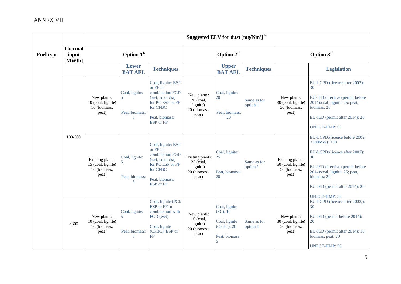|                  |                                   |                                                                 |                                            |                                                                                                                                             |                                                                      | Suggested ELV for dust [mg/Nm <sup>3]</sup> b/                                  |                         |                                                                 |                                                                                                                                                                                                                                         |
|------------------|-----------------------------------|-----------------------------------------------------------------|--------------------------------------------|---------------------------------------------------------------------------------------------------------------------------------------------|----------------------------------------------------------------------|---------------------------------------------------------------------------------|-------------------------|-----------------------------------------------------------------|-----------------------------------------------------------------------------------------------------------------------------------------------------------------------------------------------------------------------------------------|
| <b>Fuel type</b> | <b>Thermal</b><br>input<br>[MWth] |                                                                 | Option $1^{1/2}$                           |                                                                                                                                             |                                                                      | Option $2^{1/2}$                                                                |                         |                                                                 | Option $3^{1/2}$                                                                                                                                                                                                                        |
|                  |                                   |                                                                 | <b>Lower</b><br><b>BAT AEL</b>             | <b>Techniques</b>                                                                                                                           |                                                                      | <b>Upper</b><br><b>BAT AEL</b>                                                  | <b>Techniques</b>       |                                                                 | <b>Legislation</b>                                                                                                                                                                                                                      |
|                  |                                   | New plants:<br>10 (coal, lignite)<br>10 (biomass,<br>peat)      | Coal, lignite:<br>5<br>Peat, biomass:<br>5 | Coal, lignite: ESP<br>or FF in<br>combination FGD<br>(wet, sd or dsi)<br>for PC ESP or FF<br>for CFBC<br>Peat, biomass:<br><b>ESP</b> or FF | New plants:<br>$20$ (coal,<br>lignite)<br>20 (biomass,<br>peat)      | Coal, lignite:<br>20<br>Peat, biomass:<br>20                                    | Same as for<br>option 1 | New plants:<br>30 (coal, lignite)<br>30 (biomass,<br>peat)      | EU-LCPD (licence after 2002):<br>30<br>EU-IED directive (permit before<br>2014):coal, lignite: 25; peat,<br>biomass: 20<br>EU-IED (permit after 2014): 20<br><b>UNECE-HMP: 50</b>                                                       |
|                  | 100-300                           | Existing plants:<br>15 (coal, lignite)<br>10 (biomass,<br>peat) | Coal, lignite:<br>Peat, biomass:<br>5      | Coal, lignite: ESP<br>or FF in<br>combination FGD<br>(wet, sd or dsi)<br>for PC ESP or FF<br>for CFBC<br>Peat, biomass:<br><b>ESP</b> or FF | Existing plants:<br>$25$ (coal,<br>lignite)<br>20 (biomass,<br>peat) | Coal, lignite:<br>25<br>Peat, biomass:<br>20                                    | Same as for<br>option 1 | Existing plants:<br>50 (coal, lignite)<br>50 (biomass,<br>peat) | EU-LCPD: (licence before 2002;<br>$<$ 500MW): 100<br>EU-LCPD: (licence after 2002):<br>30<br>EU-IED directive (permit before<br>2014):coal, lignite: 25; peat,<br>biomass: 20<br>EU-IED (permit after 2014): 20<br><b>UNECE-HMP: 50</b> |
|                  | $>300$                            | New plants:<br>10 (coal, lignite)<br>10 (biomass,<br>peat)      | Coal, lignite:<br>5<br>Peat, biomass:<br>5 | Coal, lignite (PC):<br>ESP or FF in<br>combination with<br>FGD (wet)<br>Coal, lignite<br>(CFBC): ESP or<br>FF                               | New plants:<br>$10$ (coal,<br>lignite)<br>20 (biomass,<br>peat)      | Coal, lignite<br>(PC): 10<br>Coal, lignite<br>(CFBC): 20<br>Peat, biomass:<br>5 | Same as for<br>option 1 | New plants:<br>30 (coal, lignite)<br>30 (biomass,<br>peat)      | EU-LCPD (licence after 2002,):<br>30<br>EU-IED (permit before 2014):<br>20<br>EU-IED (permit after 2014): 10;<br>biomass, peat: 20<br><b>UNECE-HMP: 50</b>                                                                              |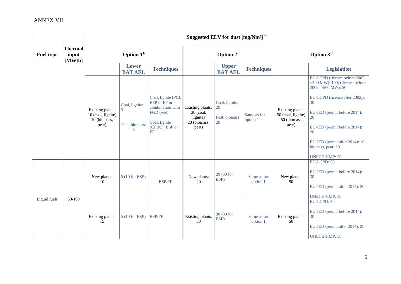|                  |                                   |                                                                 |                                                         |                                                                                                               |                                                                    | Suggested ELV for dust [mg/Nm <sup>3] b/</sup> |                         |                                                                 |                                                                                                                                                                                                                                                                                           |
|------------------|-----------------------------------|-----------------------------------------------------------------|---------------------------------------------------------|---------------------------------------------------------------------------------------------------------------|--------------------------------------------------------------------|------------------------------------------------|-------------------------|-----------------------------------------------------------------|-------------------------------------------------------------------------------------------------------------------------------------------------------------------------------------------------------------------------------------------------------------------------------------------|
| <b>Fuel type</b> | <b>Thermal</b><br>input<br>[MWth] |                                                                 | Option $1^{1/2}$                                        |                                                                                                               |                                                                    | Option $2^{1/2}$                               |                         |                                                                 | Option $3^{1/2}$                                                                                                                                                                                                                                                                          |
|                  |                                   |                                                                 | Lower<br><b>BAT AEL</b>                                 | <b>Techniques</b>                                                                                             |                                                                    | <b>Upper</b><br><b>BAT AEL</b>                 | <b>Techniques</b>       |                                                                 | <b>Legislation</b>                                                                                                                                                                                                                                                                        |
|                  |                                   | Existing plants:<br>10 (coal, lignite)<br>10 (biomass,<br>peat) | Coal, lignite:<br>5<br>Peat, biomass:<br>$\overline{5}$ | Coal, lignite (PC):<br>ESP or FF in<br>combination with<br>FGD (wet)<br>Coal, lignite<br>(CFBC): ESP or<br>FF | Existing plants:<br>20 (coal,<br>lignite)<br>20 (biomass,<br>peat) | Coal, lignite:<br>20<br>Peat, biomass:<br>20   | Same as for<br>option 1 | Existing plants:<br>50 (coal, lignite)<br>50 (biomass,<br>peat) | EU-LCPD (licence before 2002,<br><500 MW): 100; (licence before<br>2002, >500 MW): 50<br>EU-LCPD (licence after 2002,):<br>30<br>EU-IED (permit before 2014):<br>20<br>EU-IED (permit before 2014):<br>20<br>EU-IED (permit after 2014): 10;<br>biomass, peat: 20<br><b>UNECE-HMP: 50</b> |
|                  |                                   | New plants:<br>10                                               | 5 (10 for ESP)                                          | ESP/FF                                                                                                        | New plants:<br>$\overline{20}$                                     | 20 (50 for<br>ESP)                             | Same as for<br>option 1 | New plants:<br>50                                               | EU-LCPD: 50<br>EU-IED (permit before 2014):<br>30<br>EU-IED (permit after 2014): 20<br><b>UNECE-HMP: 50</b>                                                                                                                                                                               |
| Liquid fuels     | 50-100                            | Existing plants:<br>15                                          | 5 (10 for ESP)                                          | <b>ESP/FF</b>                                                                                                 | Existing plants:<br>30                                             | 30 (50 for<br>ESP)                             | Same as for<br>option 1 | Existing plants:<br>50                                          | EU-LCPD: 50<br>EU-IED (permit before 2014):<br>30<br>EU-IED (permit after 2014): 20<br><b>UNECE-HMP: 50</b>                                                                                                                                                                               |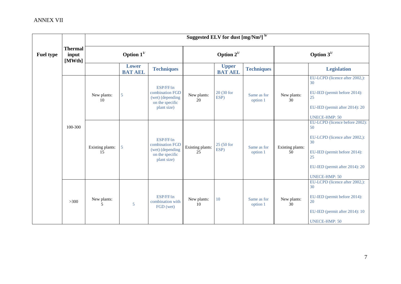|                  |                                   |                        |                                |                                                                                    |                        | Suggested ELV for dust [mg/Nm <sup>3] b/</sup> |                         |                        |                                                                                                                                                                              |
|------------------|-----------------------------------|------------------------|--------------------------------|------------------------------------------------------------------------------------|------------------------|------------------------------------------------|-------------------------|------------------------|------------------------------------------------------------------------------------------------------------------------------------------------------------------------------|
| <b>Fuel type</b> | <b>Thermal</b><br>input<br>[MWth] |                        | Option $1^{1/2}$               |                                                                                    |                        | Option $2^{1/2}$                               |                         | Option $3^{1/2}$       |                                                                                                                                                                              |
|                  |                                   |                        | <b>Lower</b><br><b>BAT AEL</b> | <b>Techniques</b>                                                                  |                        | <b>Upper</b><br><b>BAT AEL</b>                 | <b>Techniques</b>       |                        | <b>Legislation</b>                                                                                                                                                           |
|                  |                                   | New plants:<br>10      | 5                              | ESP/FF/in<br>combination FGD<br>(wet) (depending<br>on the specific<br>plant size) | New plants:<br>20      | 20 (30 for<br>ESP)                             | Same as for<br>option 1 | New plants:<br>30      | EU-LCPD (licence after 2002,):<br>30<br>EU-IED (permit before 2014):<br>25<br>EU-IED (permit after 2014): 20<br><b>UNECE-HMP: 50</b>                                         |
|                  | 100-300                           | Existing plants:<br>15 | 5                              | ESP/FF/in<br>combination FGD<br>(wet) (depending<br>on the specific<br>plant size) | Existing plants:<br>25 | 25 (50 for<br>ESP)                             | Same as for<br>option 1 | Existing plants:<br>50 | EU-LCPD (licence before 2002):<br>50<br>EU-LCPD (licence after 2002,):<br>30<br>EU-IED (permit before 2014):<br>25<br>EU-IED (permit after 2014): 20<br><b>UNECE-HMP: 50</b> |
|                  | $>300$                            | New plants:<br>5       | 5                              | ESP/FF/in<br>combination with<br>FGD (wet)                                         | New plants:<br>10      | 10                                             | Same as for<br>option 1 | New plants:<br>30      | EU-LCPD (licence after 2002,):<br>30<br>EU-IED (permit before 2014):<br>20<br>EU-IED (permit after 2014): 10<br><b>UNECE-HMP: 50</b>                                         |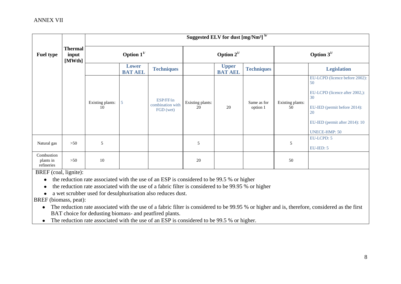|                                       |                                   |                        | Suggested ELV for dust [mg/Nm <sup>3]</sup> b/ |                                            |                        |                                |                         |                        |                                                                                                                                                                              |  |  |
|---------------------------------------|-----------------------------------|------------------------|------------------------------------------------|--------------------------------------------|------------------------|--------------------------------|-------------------------|------------------------|------------------------------------------------------------------------------------------------------------------------------------------------------------------------------|--|--|
| <b>Fuel type</b>                      | <b>Thermal</b><br>input<br>[MWth] | Option $1^{1/2}$       |                                                |                                            |                        | Option $2^{1/2}$               |                         |                        | Option $3^{1/2}$                                                                                                                                                             |  |  |
|                                       |                                   |                        | <b>Lower</b><br><b>BAT AEL</b>                 | <b>Techniques</b>                          |                        | <b>Upper</b><br><b>BAT AEL</b> | <b>Techniques</b>       |                        | <b>Legislation</b>                                                                                                                                                           |  |  |
|                                       |                                   | Existing plants:<br>10 | 5                                              | ESP/FF/in<br>combination with<br>FGD (wet) | Existing plants:<br>20 | 20                             | Same as for<br>option 1 | Existing plants:<br>50 | EU-LCPD (licence before 2002):<br>50<br>EU-LCPD (licence after 2002,):<br>30<br>EU-IED (permit before 2014):<br>20<br>EU-IED (permit after 2014): 10<br><b>UNECE-HMP: 50</b> |  |  |
| Natural gas                           | $>50$                             | 5                      |                                                |                                            | 5                      |                                |                         | 5                      | EU-LCPD: 5<br>EU-IED: 5                                                                                                                                                      |  |  |
| Combustion<br>plants in<br>refineries | >50                               | 10                     |                                                |                                            | 20                     |                                |                         | 50                     |                                                                                                                                                                              |  |  |

BREF (coal, lignite):

• the reduction rate associated with the use of an ESP is considered to be 99.5 % or higher

the reduction rate associated with the use of a fabric filter is considered to be 99.95 % or higher  $\bullet$ 

a wet scrubber used for desulphurisation also reduces dust.

BREF (biomass, peat):

- The reduction rate associated with the use of a fabric filter is considered to be 99.95 % or higher and is, therefore, considered as the first BAT choice for dedusting biomass- and peatfired plants.
- The reduction rate associated with the use of an ESP is considered to be 99.5 % or higher.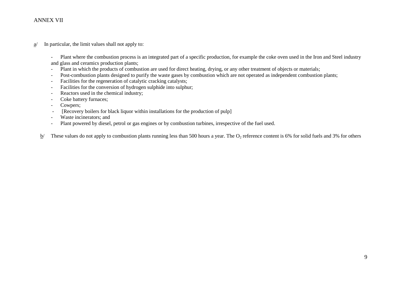$a$ <sup>*I*</sup> In particular, the limit values shall not apply to:

- Plant where the combustion process is an integrated part of a specific production, for example the coke oven used in the Iron and Steel industry and glass and ceramics production plants;

- Plant in which the products of combustion are used for direct heating, drying, or any other treatment of objects or materials;
- Post-combustion plants designed to purify the waste gases by combustion which are not operated as independent combustion plants;
- Facilities for the regeneration of catalytic cracking catalysts;
- Facilities for the conversion of hydrogen sulphide into sulphur;
- Reactors used in the chemical industry;
- Coke battery furnaces;
- Cowpers;
- [Recovery boilers for black liquor within installations for the production of pulp]
- Waste incinerators; and
- Plant powered by diesel, petrol or gas engines or by combustion turbines, irrespective of the fuel used.

b/ These values do not apply to combustion plants running less than 500 hours a year. The  $O_2$  reference content is 6% for solid fuels and 3% for others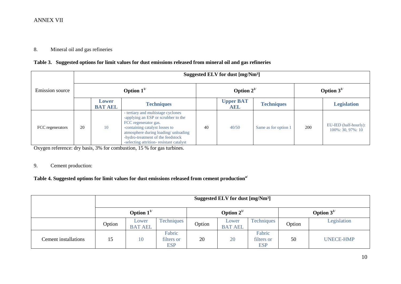#### 8. Mineral oil and gas refineries

#### **Table 3. Suggested options for limit values for dust emissions released from mineral oil and gas refineries**

|                  |    | Suggested ELV for dust [mg/Nm <sup>3</sup> ] |                                                                                                                                                                                                                                                            |    |                         |                      |                  |                                                |  |  |  |  |
|------------------|----|----------------------------------------------|------------------------------------------------------------------------------------------------------------------------------------------------------------------------------------------------------------------------------------------------------------|----|-------------------------|----------------------|------------------|------------------------------------------------|--|--|--|--|
| Emission source  |    |                                              | Option $1^{1/2}$                                                                                                                                                                                                                                           |    | Option $2^{1/2}$        |                      | Option $3^{1/2}$ |                                                |  |  |  |  |
|                  |    | Lower<br><b>BAT AEL</b>                      | <b>Techniques</b>                                                                                                                                                                                                                                          |    | <b>Upper BAT</b><br>AEL | <b>Techniques</b>    |                  | <b>Legislation</b>                             |  |  |  |  |
| FCC regenerators | 20 | 10                                           | - tertiary and multistage cyclones<br>-applying an ESP or scrubber to the<br>FCC regenerator gas.<br>-containing catalyst losses to<br>atmosphere during loading/unloading<br>-hydro-treatment of the feedstock<br>-selecting attrition-resistant catalyst | 40 | 40/50                   | Same as for option 1 | 200              | EU-IED (half-hourly):<br>$100\%$ : 30, 97%: 10 |  |  |  |  |

Oxygen reference: dry basis, 3% for combustion, 15 % for gas turbines.

## 9. Cement production:

## **Table 4. Suggested options for limit values for dust emissions released from cement productiona/**

|                      |        | Suggested ELV for dust [mg/Nm <sup>3</sup> ] |                                    |                  |                         |                                    |                  |                  |  |  |
|----------------------|--------|----------------------------------------------|------------------------------------|------------------|-------------------------|------------------------------------|------------------|------------------|--|--|
|                      |        | Option $1^{1/2}$                             |                                    | Option $2^{1/2}$ |                         |                                    | Option $3^{1/2}$ |                  |  |  |
|                      | Option | Lower<br><b>BAT AEL</b>                      | <b>Techniques</b>                  | Option           | Lower<br><b>BAT AEL</b> | Techniques                         | Option           | Legislation      |  |  |
| Cement installations | 15     | 10                                           | Fabric<br>filters or<br><b>ESP</b> | 20               | 20                      | Fabric<br>filters or<br><b>ESP</b> | 50               | <b>UNECE-HMP</b> |  |  |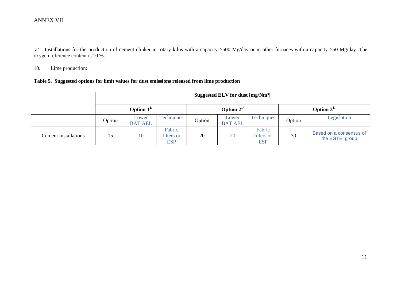a/ Installations for the production of cement clinker in rotary kilns with a capacity >500 Mg/day or in other furnaces with a capacity >50 Mg/day. The oxygen reference content is 10 %.

10. Lime production:

#### **Table 5. Suggested options for limit values for dust emissions released from lime production**

|                      |                  | Suggested ELV for dust [mg/Nm <sup>3</sup> ] |                                    |                  |                         |                                    |                  |                                            |  |  |  |
|----------------------|------------------|----------------------------------------------|------------------------------------|------------------|-------------------------|------------------------------------|------------------|--------------------------------------------|--|--|--|
|                      | Option $1^{1/2}$ |                                              |                                    | Option $2^{1/2}$ |                         |                                    | Option $3^{1/2}$ |                                            |  |  |  |
|                      | Option           | Lower<br><b>BAT AEL</b>                      | <b>Techniques</b>                  | Option           | Lower<br><b>BAT AEL</b> | Techniques                         | Option           | Legislation                                |  |  |  |
| Cement installations | 15               | 10                                           | Fabric<br>filters or<br><b>ESP</b> | 20               | 20                      | Fabric<br>filters or<br><b>ESP</b> | 30               | Based on a consensus of<br>the EGTEI group |  |  |  |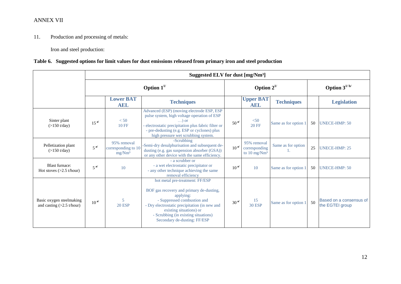11. Production and processing of metals:

Iron and steel production:

## **Table 6. Suggested options for limit values for dust emissions released from primary iron and steel production**

|                                                         |                  |                                                 | Suggested ELV for dust [mg/Nm <sup>3</sup> ]                                                                                                                                                                                                                                |                  |                                                                |                      |    |                                            |
|---------------------------------------------------------|------------------|-------------------------------------------------|-----------------------------------------------------------------------------------------------------------------------------------------------------------------------------------------------------------------------------------------------------------------------------|------------------|----------------------------------------------------------------|----------------------|----|--------------------------------------------|
|                                                         |                  |                                                 | Option $1^{1/2}$                                                                                                                                                                                                                                                            |                  | Option $2^{1/2}$                                               |                      |    | Option $3^{1/b/}$                          |
|                                                         |                  | <b>Lower BAT</b><br><b>AEL</b>                  | <b>Techniques</b>                                                                                                                                                                                                                                                           |                  | <b>Upper BAT</b><br><b>AEL</b>                                 | <b>Techniques</b>    |    | <b>Legislation</b>                         |
| Sinter plant<br>(>150 t/day)                            | 15 <sup>al</sup> | < 50<br><b>10 FF</b>                            | Advanced (ESP) (moving electrode ESP, ESP<br>pulse system, high voltage operation of ESP<br>$\ldots$ ) or<br>- electrostatic precipitation plus fabric filter or<br>- pre-dedusting (e.g. ESP or cyclones) plus<br>high pressure wet scrubbing system.                      | 50 <sup>al</sup> | < 50<br><b>20 FF</b>                                           | Same as for option 1 | 50 | <b>UNECE-HMP: 50</b>                       |
| Pelletization plant<br>$(>150 \text{ t/day})$           | $5^{a/}$         | 95% removal<br>corresponding to 10<br>$mg/Mm^3$ | -Scrubbing<br>-Semi-dry desulphurisation and subsequent de-<br>dusting (e.g. gas suspension absorber (GSA))<br>or any other device with the same efficiency.                                                                                                                | $10^{a/}$        | 95% removal<br>corresponding<br>to $10 \text{ mg}/\text{Nm}^3$ | Same as for option   | 25 | <b>UNECE-HMP: 25</b>                       |
| <b>Blast furnace:</b><br>Hot stoves $(>2.5$ t/hour)     | $5^{a/}$         | 10                                              | - a scrubber or<br>- a wet electrostatic precipitator or<br>- any other technique achieving the same<br>removal efficiency                                                                                                                                                  | $10^{a/}$        | 10                                                             | Same as for option 1 | 50 | <b>UNECE-HMP: 50</b>                       |
| Basic oxygen steelmaking<br>and casting $(>2.5$ t/hour) | $10^{a/}$        | 5<br><b>20 ESP</b>                              | hot metal pre-treatment: FF/ESP<br>BOF gas recovery and primary de-dusting,<br>applying:<br>- Suppressed combustion and<br>- Dry electrostatic precipitation (in new and<br>existing situations) or<br>- Scrubbing (in existing situations)<br>Secondary de-dusting: FF/ESP | 30 <sup>al</sup> | 15<br><b>30 ESP</b>                                            | Same as for option 1 | 50 | Based on a consensus of<br>the EGTEI group |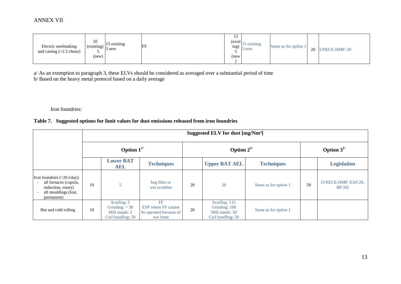| Electric steelmaking<br>and casting $(>2.5 \text{ t/hour})$ | 10<br>$\left(\text{existing}\right)\left _{\epsilon}\right $<br>້<br>(new) | 15 existing<br>$\overline{p}$ new | FF | IJ<br>(exist)<br>1ng)<br>(new | 15 existing<br>5 new | Same as for option 1 | 20 | <b>UNECE-HMP: 50</b> |
|-------------------------------------------------------------|----------------------------------------------------------------------------|-----------------------------------|----|-------------------------------|----------------------|----------------------|----|----------------------|
|-------------------------------------------------------------|----------------------------------------------------------------------------|-----------------------------------|----|-------------------------------|----------------------|----------------------|----|----------------------|

a/ As an exemption to paragraph 3, these ELVs should be considered as averaged over a substantial period of time b/ Based on the heavy metal protocol based on a daily average

Iron foundries:

## **Table 7. Suggested options for limit values for dust emissions released from iron foundries**

|                                                                                                                             |                  | Suggested ELV for dust [mg/Nm <sup>3</sup> ]                           |                                                                        |    |                                                                        |                      |    |                                      |  |  |  |  |
|-----------------------------------------------------------------------------------------------------------------------------|------------------|------------------------------------------------------------------------|------------------------------------------------------------------------|----|------------------------------------------------------------------------|----------------------|----|--------------------------------------|--|--|--|--|
|                                                                                                                             | Option $1^{1/2}$ |                                                                        |                                                                        |    | Option $2^{1/2}$                                                       | Option $3^{1/2}$     |    |                                      |  |  |  |  |
|                                                                                                                             |                  | <b>Lower BAT</b><br>AEL                                                | <b>Techniques</b>                                                      |    | <b>Upper BAT AEL</b>                                                   | <b>Techniques</b>    |    | <b>Legislation</b>                   |  |  |  |  |
| Iron foundries $(>20 \text{ t/day})$ :<br>all furnaces (cupola,<br>induction, rotary)<br>all mouldings (lost,<br>permanent) | 10               | 5                                                                      | bag filter or<br>wet scrubber                                          | 20 | 20                                                                     | Same as for option 1 | 50 | [UNECE-HMP: EAF:20,<br><b>BF:501</b> |  |  |  |  |
| Hot and cold rolling                                                                                                        | 10               | Scarfing: 5<br>Grinding: $<$ 30<br>Mill stands: 2<br>Coil handling: 50 | FF<br><b>ESP</b> where FF cannot<br>be operated because of<br>wet fume | 20 | Scarfing: 115<br>Grinding: 100<br>Mill stands: 50<br>Coil handling: 50 | Same as for option 1 |    |                                      |  |  |  |  |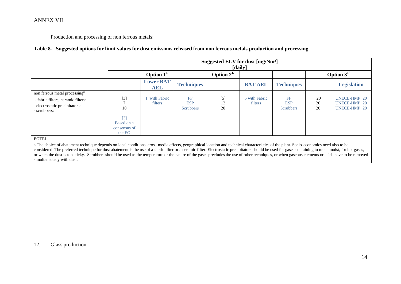Production and processing of non ferrous metals:

#### **Table 8. Suggested options for limit values for dust emissions released from non ferrous metals production and processing**

|                                                                                                                                   |                                                              | Suggested ELV for dust [mg/Nm <sup>3</sup> ]<br>[daily] |                                      |                   |                          |                                      |                  |                                                                      |  |  |  |
|-----------------------------------------------------------------------------------------------------------------------------------|--------------------------------------------------------------|---------------------------------------------------------|--------------------------------------|-------------------|--------------------------|--------------------------------------|------------------|----------------------------------------------------------------------|--|--|--|
|                                                                                                                                   |                                                              | Option $1^{1/2}$                                        |                                      | Option $2^{1/2}$  |                          |                                      | Option $3^{1/2}$ |                                                                      |  |  |  |
|                                                                                                                                   |                                                              | <b>Lower BAT</b><br><b>AEL</b>                          | <b>Techniques</b>                    |                   | <b>BAT AEL</b>           | <b>Techniques</b>                    |                  | <b>Legislation</b>                                                   |  |  |  |
| non ferrous metal processing <sup>a</sup><br>- fabric filters, ceramic filters:<br>- electrostatic precipitators:<br>- scrubbers: | $[3]$<br>10<br>$[3]$<br>Based on a<br>consensus of<br>the EG | with Fabric<br>filters                                  | FF<br><b>ESP</b><br><b>Scrubbers</b> | $[5]$<br>12<br>20 | 5 with Fabric<br>filters | FF<br><b>ESP</b><br><b>Scrubbers</b> | 20<br>20<br>20   | <b>UNECE-HMP: 20</b><br><b>UNECE-HMP: 20</b><br><b>UNECE-HMP: 20</b> |  |  |  |

EGTEI

a The choice of abatement technique depends on local conditions, cross-media effects, geographical location and technical characteristics of the plant. Socio-economics need also to be considered. The preferred technique for dust abatement is the use of a fabric filter or a ceramic filter. Electrostatic precipitators should be used for gases containing to much moist, for hot gases, or when the dust is too sticky. Scrubbers should be used as the temperature or the nature of the gases precludes the use of other techniques, or when gaseous elements or acids have to be removed simultaneously with dust.

#### 12. Glass production: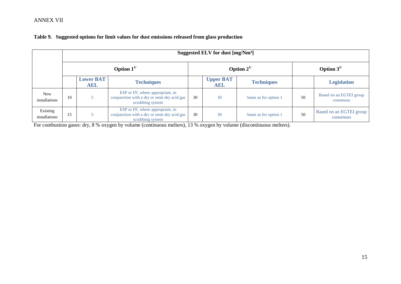|                             | Suggested ELV for dust [mg/Nm <sup>3</sup> ] |                         |                                                                                                     |    |                         |                      |                  |                                      |  |  |
|-----------------------------|----------------------------------------------|-------------------------|-----------------------------------------------------------------------------------------------------|----|-------------------------|----------------------|------------------|--------------------------------------|--|--|
|                             | Option $1^{1/2}$                             |                         |                                                                                                     |    |                         | Option $2^{1/2}$     | Option $3^{1/2}$ |                                      |  |  |
|                             |                                              | <b>Lower BAT</b><br>AEL | <b>Techniques</b>                                                                                   |    | <b>Upper BAT</b><br>AEL | <b>Techniques</b>    |                  | <b>Legislation</b>                   |  |  |
| <b>New</b><br>installations | 10                                           |                         | ESP or FF, where appropriate, in<br>conjunction with a dry or semi-dry acid gas<br>scrubbing system | 30 | 30                      | Same as for option 1 | 50               | Based on an EGTEI group<br>consensus |  |  |
| Existing<br>installations   | 15                                           |                         | ESP or FF, where appropriate, in<br>conjunction with a dry or semi-dry acid gas<br>scrubbing system | 30 | 30                      | Same as for option 1 | 50               | Based on an EGTEI group<br>consensus |  |  |

## **Table 9. Suggested options for limit values for dust emissions released from glass production**

For combustion gases: dry, 8 % oxygen by volume (continuous melters), 13 % oxygen by volume (discontinuous melters).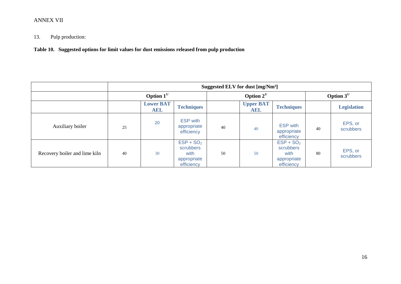# 13. Pulp production:

**Table 10. Suggested options for limit values for dust emissions released from pulp production**

|                               |                  | Suggested ELV for dust [mg/Nm <sup>3</sup> ] |                                                               |    |                         |                                                               |    |                      |  |  |
|-------------------------------|------------------|----------------------------------------------|---------------------------------------------------------------|----|-------------------------|---------------------------------------------------------------|----|----------------------|--|--|
|                               | Option $1^{1/2}$ |                                              |                                                               |    | Option $2^{1/2}$        |                                                               |    | Option $3^{1/2}$     |  |  |
|                               |                  | <b>Lower BAT</b><br><b>AEL</b>               | <b>Techniques</b>                                             |    | <b>Upper BAT</b><br>AEL | <b>Techniques</b>                                             |    | <b>Legislation</b>   |  |  |
| Auxiliary boiler              | 25               | 20                                           | <b>ESP</b> with<br>appropriate<br>efficiency                  | 40 | 40                      | <b>ESP</b> with<br>appropriate<br>efficiency                  | 40 | EPS, or<br>scrubbers |  |  |
| Recovery boiler and lime kiln | 40               | 30                                           | $ESP + SO2$<br>scrubbers<br>with<br>appropriate<br>efficiency | 50 | 50                      | $ESP + SO2$<br>scrubbers<br>with<br>appropriate<br>efficiency | 80 | EPS, or<br>scrubbers |  |  |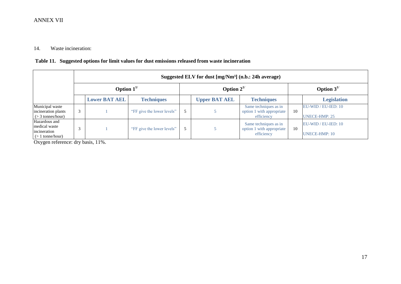## 14. Waste incineration:

## **Table 11. Suggested options for limit values for dust emissions released from waste incineration**

|                                                                      |                  | Suggested ELV for dust [mg/Nm <sup>3</sup> ] (n.b.: 24h average) |                            |  |                      |                                                                  |                  |                                               |  |  |  |  |
|----------------------------------------------------------------------|------------------|------------------------------------------------------------------|----------------------------|--|----------------------|------------------------------------------------------------------|------------------|-----------------------------------------------|--|--|--|--|
|                                                                      | Option $1^{1/2}$ |                                                                  |                            |  | Option $2^{1/2}$     |                                                                  | Option $3^{1/2}$ |                                               |  |  |  |  |
|                                                                      |                  | <b>Lower BAT AEL</b>                                             | <b>Techniques</b>          |  | <b>Upper BAT AEL</b> | <b>Techniques</b>                                                |                  | <b>Legislation</b>                            |  |  |  |  |
| Municipal waste<br>incineration plants<br>$(> 3$ tonnes/hour)        |                  |                                                                  | "FF give the lower levels" |  |                      | Same techniques as in<br>option 1 with appropriate<br>efficiency | 10               | EU-WID / EU-IED: 10<br><b>UNECE-HMP: 25</b>   |  |  |  |  |
| Hazardous and<br>medical waste<br>incineration<br>$(> 1$ tonne/hour) |                  |                                                                  | "FF give the lower levels" |  |                      | Same techniques as in<br>option 1 with appropriate<br>efficiency | 10               | $EU-WID / EU-IED: 10$<br><b>UNECE-HMP: 10</b> |  |  |  |  |

Oxygen reference: dry basis, 11%.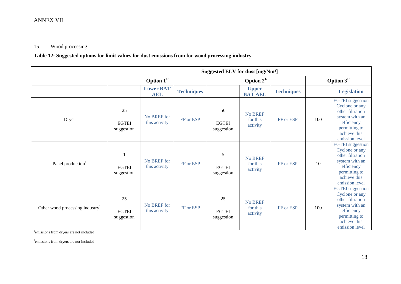## 15. Wood processing:

**Table 12: Suggested options for limit values for dust emissions from for wood processing industry**

|                                             | Suggested ELV for dust [mg/Nm <sup>3</sup> ] |                                |                   |                                  |                                        |                   |                  |                                                                                                                                                  |  |  |
|---------------------------------------------|----------------------------------------------|--------------------------------|-------------------|----------------------------------|----------------------------------------|-------------------|------------------|--------------------------------------------------------------------------------------------------------------------------------------------------|--|--|
|                                             |                                              | Option $1^{1/2}$               |                   | Option $2^{1/2}$                 |                                        |                   | Option $3^{1/2}$ |                                                                                                                                                  |  |  |
|                                             |                                              | <b>Lower BAT</b><br><b>AEL</b> | <b>Techniques</b> |                                  | <b>Upper</b><br><b>BAT AEL</b>         | <b>Techniques</b> |                  | <b>Legislation</b>                                                                                                                               |  |  |
| Dryer                                       | 25<br><b>EGTEI</b><br>suggestion             | No BREF for<br>this activity   | FF or ESP         | 50<br><b>EGTEI</b><br>suggestion | No BREF<br>for this<br>activity        | FF or ESP         | 100              | <b>EGTEI</b> suggestion<br>Cyclone or any<br>other filtration<br>system with an<br>efficiency<br>permitting to<br>achieve this<br>emission level |  |  |
| Panel production <sup>1</sup>               | <b>EGTEI</b><br>suggestion                   | No BREF for<br>this activity   | FF or ESP         | 5<br><b>EGTEI</b><br>suggestion  | <b>No BREF</b><br>for this<br>activity | FF or ESP         | 10               | <b>EGTEI</b> suggestion<br>Cyclone or any<br>other filtration<br>system with an<br>efficiency<br>permitting to<br>achieve this<br>emission level |  |  |
| Other wood processing industry <sup>1</sup> | 25<br><b>EGTEI</b><br>suggestion             | No BREF for<br>this activity   | FF or ESP         | 25<br><b>EGTEI</b><br>suggestion | No BREF<br>for this<br>activity        | FF or ESP         | 100              | <b>EGTEI</b> suggestion<br>Cyclone or any<br>other filtration<br>system with an<br>efficiency<br>permitting to<br>achieve this<br>emission level |  |  |

<sup>1</sup>emissions from dryers are not included

1 emissions from dryers are not included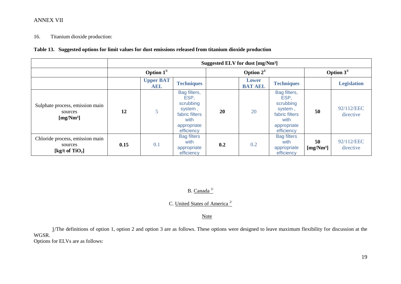#### 16. Titanium dioxide production:

#### **Table 13. Suggested options for limit values for dust emissions released from titanium dioxide production**

|                                                                 |                  | Suggested ELV for dust [mg/Nm <sup>3</sup> ] |                                                                                                     |     |                         |                                                                                                     |                             |                         |  |  |
|-----------------------------------------------------------------|------------------|----------------------------------------------|-----------------------------------------------------------------------------------------------------|-----|-------------------------|-----------------------------------------------------------------------------------------------------|-----------------------------|-------------------------|--|--|
|                                                                 | Option $1^{1/2}$ |                                              |                                                                                                     |     | Option $2^{1/2}$        | Option $3^{1/2}$                                                                                    |                             |                         |  |  |
|                                                                 |                  | <b>Upper BAT</b><br>AEL                      | <b>Techniques</b>                                                                                   |     | Lower<br><b>BAT AEL</b> | <b>Techniques</b>                                                                                   |                             | <b>Legislation</b>      |  |  |
| Sulphate process, emission main<br>sources<br>[ $mg/Nm3$ ]      | 12               |                                              | Bag filters,<br>ESP,<br>scrubbing<br>system,<br>fabric filters<br>with<br>appropriate<br>efficiency | 20  | 20                      | Bag filters,<br>ESP,<br>scrubbing<br>system,<br>fabric filters<br>with<br>appropriate<br>efficiency | 50                          | 92/112/EEC<br>directive |  |  |
| Chloride process, emission main<br>sources<br>[kg/t of $TiO2$ ] | 0.15             | 0.1                                          | <b>Bag filters</b><br>with<br>appropriate<br>efficiency                                             | 0.2 | 0.2                     | <b>Bag filters</b><br>with<br>appropriate<br>efficiency                                             | 50<br>[mg/Nm <sup>3</sup> ] | 92/112/EEC<br>directive |  |  |

# B. Canada  $^{2/}$

## C. United States of America<sup>2/</sup>

#### **Note**

1/The definitions of option 1, option 2 and option 3 are as follows. These options were designed to leave maximum flexibility for discussion at the WGSR.

Options for ELVs are as follows: